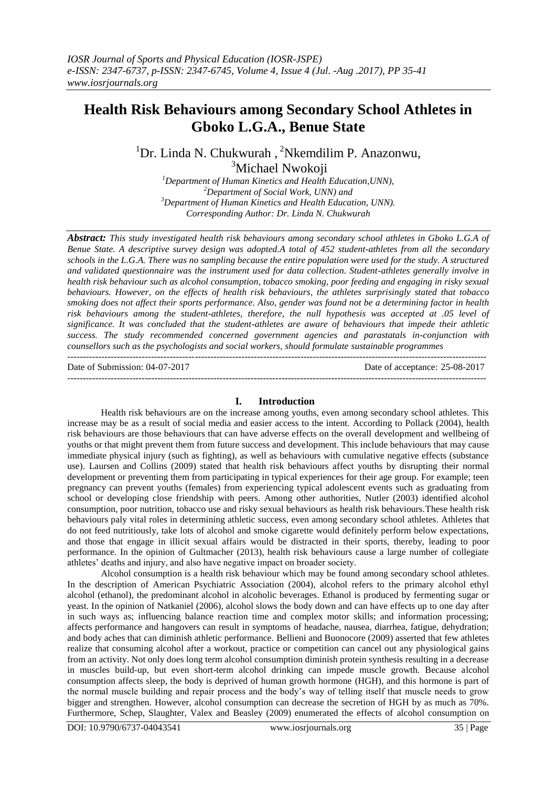# **Health Risk Behaviours among Secondary School Athletes in Gboko L.G.A., Benue State**

 ${}^{1}$ Dr. Linda N. Chukwurah, <sup>2</sup>Nkemdilim P. Anazonwu, <sup>3</sup>Michael Nwokoji

*Department of Human Kinetics and Health Education,UNN), Department of Social Work, UNN) and Department of Human Kinetics and Health Education, UNN). Corresponding Author: Dr. Linda N. Chukwurah*

*Abstract: This study investigated health risk behaviours among secondary school athletes in Gboko L.G.A of Benue State. A descriptive survey design was adopted.A total of 452 student-athletes from all the secondary schools in the L.G.A. There was no sampling because the entire population were used for the study. A structured and validated questionnaire was the instrument used for data collection. Student-athletes generally involve in health risk behaviour such as alcohol consumption, tobacco smoking, poor feeding and engaging in risky sexual behaviours. However, on the effects of health risk behaviours, the athletes surprisingly stated that tobacco smoking does not affect their sports performance. Also, gender was found not be a determining factor in health risk behaviours among the student-athletes, therefore, the null hypothesis was accepted at .05 level of significance. It was concluded that the student-athletes are aware of behaviours that impede their athletic success. The study recommended concerned government agencies and parastatals in-conjunction with counsellors such as the psychologists and social workers, should formulate sustainable programmes* ---------------------------------------------------------------------------------------------------------------------------------------

Date of Submission: 04-07-2017 Date of acceptance: 25-08-2017

---------------------------------------------------------------------------------------------------------------------------------------

## **I. Introduction**

Health risk behaviours are on the increase among youths, even among secondary school athletes. This increase may be as a result of social media and easier access to the intent. According to Pollack (2004), health risk behaviours are those behaviours that can have adverse effects on the overall development and wellbeing of youths or that might prevent them from future success and development. This include behaviours that may cause immediate physical injury (such as fighting), as well as behaviours with cumulative negative effects (substance use). Laursen and Collins (2009) stated that health risk behaviours affect youths by disrupting their normal development or preventing them from participating in typical experiences for their age group. For example; teen pregnancy can prevent youths (females) from experiencing typical adolescent events such as graduating from school or developing close friendship with peers. Among other authorities, Nutler (2003) identified alcohol consumption, poor nutrition, tobacco use and risky sexual behaviours as health risk behaviours.These health risk behaviours paly vital roles in determining athletic success, even among secondary school athletes. Athletes that do not feed nutritiously, take lots of alcohol and smoke cigarette would definitely perform below expectations, and those that engage in illicit sexual affairs would be distracted in their sports, thereby, leading to poor performance. In the opinion of Gultmacher (2013), health risk behaviours cause a large number of collegiate athletes' deaths and injury, and also have negative impact on broader society.

Alcohol consumption is a health risk behaviour which may be found among secondary school athletes. In the description of American Psychiatric Association (2004), alcohol refers to the primary alcohol ethyl alcohol (ethanol), the predominant alcohol in alcoholic beverages. Ethanol is produced by fermenting sugar or yeast. In the opinion of Natkaniel (2006), alcohol slows the body down and can have effects up to one day after in such ways as; influencing balance reaction time and complex motor skills; and information processing; affects performance and hangovers can result in symptoms of headache, nausea, diarrhea, fatigue, dehydration; and body aches that can diminish athletic performance. Bellieni and Buonocore (2009) asserted that few athletes realize that consuming alcohol after a workout, practice or competition can cancel out any physiological gains from an activity. Not only does long term alcohol consumption diminish protein synthesis resulting in a decrease in muscles build-up, but even short-term alcohol drinking can impede muscle growth. Because alcohol consumption affects sleep, the body is deprived of human growth hormone (HGH), and this hormone is part of the normal muscle building and repair process and the body's way of telling itself that muscle needs to grow bigger and strengthen. However, alcohol consumption can decrease the secretion of HGH by as much as 70%. Furthermore, Schep, Slaughter, Valex and Beasley (2009) enumerated the effects of alcohol consumption on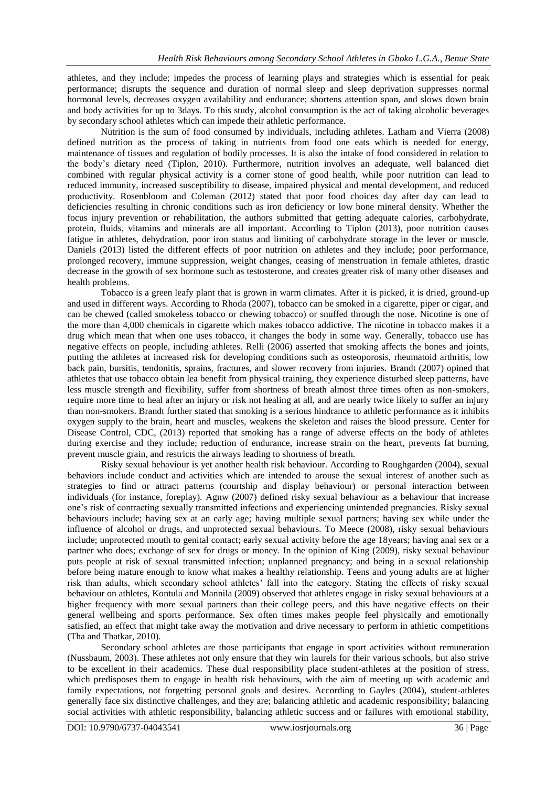athletes, and they include; impedes the process of learning plays and strategies which is essential for peak performance; disrupts the sequence and duration of normal sleep and sleep deprivation suppresses normal hormonal levels, decreases oxygen availability and endurance; shortens attention span, and slows down brain and body activities for up to 3days. To this study, alcohol consumption is the act of taking alcoholic beverages by secondary school athletes which can impede their athletic performance.

Nutrition is the sum of food consumed by individuals, including athletes. Latham and Vierra (2008) defined nutrition as the process of taking in nutrients from food one eats which is needed for energy, maintenance of tissues and regulation of bodily processes. It is also the intake of food considered in relation to the body's dietary need (Tiplon, 2010). Furthermore, nutrition involves an adequate, well balanced diet combined with regular physical activity is a corner stone of good health, while poor nutrition can lead to reduced immunity, increased susceptibility to disease, impaired physical and mental development, and reduced productivity. Rosenbloom and Coleman (2012) stated that poor food choices day after day can lead to deficiencies resulting in chronic conditions such as iron deficiency or low bone mineral density. Whether the focus injury prevention or rehabilitation, the authors submitted that getting adequate calories, carbohydrate, protein, fluids, vitamins and minerals are all important. According to Tiplon (2013), poor nutrition causes fatigue in athletes, dehydration, poor iron status and limiting of carbohydrate storage in the lever or muscle. Daniels (2013) listed the different effects of poor nutrition on athletes and they include; poor performance, prolonged recovery, immune suppression, weight changes, ceasing of menstruation in female athletes, drastic decrease in the growth of sex hormone such as testosterone, and creates greater risk of many other diseases and health problems.

Tobacco is a green leafy plant that is grown in warm climates. After it is picked, it is dried, ground-up and used in different ways. According to Rhoda (2007), tobacco can be smoked in a cigarette, piper or cigar, and can be chewed (called smokeless tobacco or chewing tobacco) or snuffed through the nose. Nicotine is one of the more than 4,000 chemicals in cigarette which makes tobacco addictive. The nicotine in tobacco makes it a drug which mean that when one uses tobacco, it changes the body in some way. Generally, tobacco use has negative effects on people, including athletes. Relli (2006) asserted that smoking affects the bones and joints, putting the athletes at increased risk for developing conditions such as osteoporosis, rheumatoid arthritis, low back pain, bursitis, tendonitis, sprains, fractures, and slower recovery from injuries. Brandt (2007) opined that athletes that use tobacco obtain lea benefit from physical training, they experience disturbed sleep patterns, have less muscle strength and flexibility, suffer from shortness of breath almost three times often as non-smokers, require more time to heal after an injury or risk not healing at all, and are nearly twice likely to suffer an injury than non-smokers. Brandt further stated that smoking is a serious hindrance to athletic performance as it inhibits oxygen supply to the brain, heart and muscles, weakens the skeleton and raises the blood pressure. Center for Disease Control, CDC, (2013) reported that smoking has a range of adverse effects on the body of athletes during exercise and they include; reduction of endurance, increase strain on the heart, prevents fat burning, prevent muscle grain, and restricts the airways leading to shortness of breath.

Risky sexual behaviour is yet another health risk behaviour. According to Roughgarden (2004), sexual behaviors include conduct and activities which are intended to arouse the sexual interest of another such as strategies to find or attract patterns (courtship and display behaviour) or personal interaction between individuals (for instance, foreplay). Agnw (2007) defined risky sexual behaviour as a behaviour that increase one's risk of contracting sexually transmitted infections and experiencing unintended pregnancies. Risky sexual behaviours include; having sex at an early age; having multiple sexual partners; having sex while under the influence of alcohol or drugs, and unprotected sexual behaviours. To Meece (2008), risky sexual behaviours include; unprotected mouth to genital contact; early sexual activity before the age 18years; having anal sex or a partner who does; exchange of sex for drugs or money. In the opinion of King (2009), risky sexual behaviour puts people at risk of sexual transmitted infection; unplanned pregnancy; and being in a sexual relationship before being mature enough to know what makes a healthy relationship. Teens and young adults are at higher risk than adults, which secondary school athletes' fall into the category. Stating the effects of risky sexual behaviour on athletes, Kontula and Mannila (2009) observed that athletes engage in risky sexual behaviours at a higher frequency with more sexual partners than their college peers, and this have negative effects on their general wellbeing and sports performance. Sex often times makes people feel physically and emotionally satisfied, an effect that might take away the motivation and drive necessary to perform in athletic competitions (Tha and Thatkar, 2010).

Secondary school athletes are those participants that engage in sport activities without remuneration (Nussbaum, 2003). These athletes not only ensure that they win laurels for their various schools, but also strive to be excellent in their academics. These dual responsibility place student-athletes at the position of stress, which predisposes them to engage in health risk behaviours, with the aim of meeting up with academic and family expectations, not forgetting personal goals and desires. According to Gayles (2004), student-athletes generally face six distinctive challenges, and they are; balancing athletic and academic responsibility; balancing social activities with athletic responsibility, balancing athletic success and or failures with emotional stability,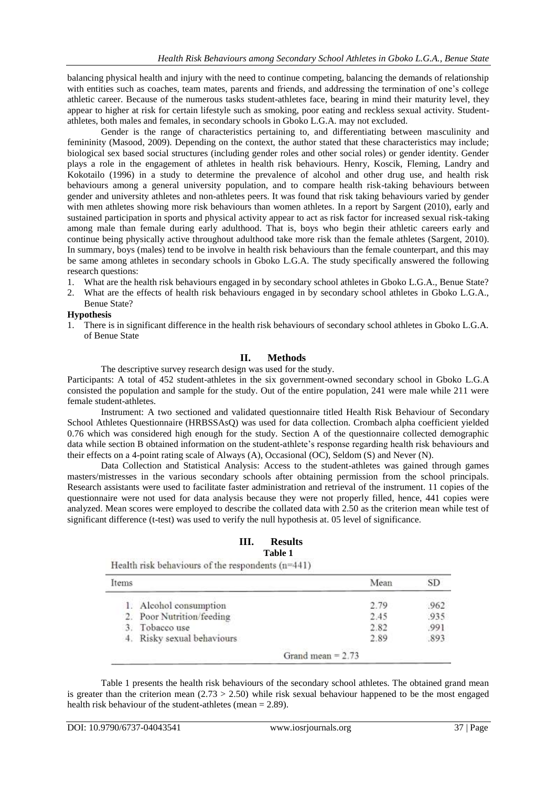balancing physical health and injury with the need to continue competing, balancing the demands of relationship with entities such as coaches, team mates, parents and friends, and addressing the termination of one's college athletic career. Because of the numerous tasks student-athletes face, bearing in mind their maturity level, they appear to higher at risk for certain lifestyle such as smoking, poor eating and reckless sexual activity. Studentathletes, both males and females, in secondary schools in Gboko L.G.A. may not excluded.

Gender is the range of characteristics pertaining to, and differentiating between masculinity and femininity (Masood, 2009). Depending on the context, the author stated that these characteristics may include; biological sex based social structures (including gender roles and other social roles) or gender identity. Gender plays a role in the engagement of athletes in health risk behaviours. Henry, Koscik, Fleming, Landry and Kokotailo (1996) in a study to determine the prevalence of alcohol and other drug use, and health risk behaviours among a general university population, and to compare health risk-taking behaviours between gender and university athletes and non-athletes peers. It was found that risk taking behaviours varied by gender with men athletes showing more risk behaviours than women athletes. In a report by Sargent (2010), early and sustained participation in sports and physical activity appear to act as risk factor for increased sexual risk-taking among male than female during early adulthood. That is, boys who begin their athletic careers early and continue being physically active throughout adulthood take more risk than the female athletes (Sargent, 2010). In summary, boys (males) tend to be involve in health risk behaviours than the female counterpart, and this may be same among athletes in secondary schools in Gboko L.G.A. The study specifically answered the following research questions:

- 1. What are the health risk behaviours engaged in by secondary school athletes in Gboko L.G.A., Benue State?
- 2. What are the effects of health risk behaviours engaged in by secondary school athletes in Gboko L.G.A., Benue State?

#### **Hypothesis**

1. There is in significant difference in the health risk behaviours of secondary school athletes in Gboko L.G.A. of Benue State

#### **II. Methods**

The descriptive survey research design was used for the study.

Participants: A total of 452 student-athletes in the six government-owned secondary school in Gboko L.G.A consisted the population and sample for the study. Out of the entire population, 241 were male while 211 were female student-athletes.

Instrument: A two sectioned and validated questionnaire titled Health Risk Behaviour of Secondary School Athletes Questionnaire (HRBSSAsQ) was used for data collection. Crombach alpha coefficient yielded 0.76 which was considered high enough for the study. Section A of the questionnaire collected demographic data while section B obtained information on the student-athlete's response regarding health risk behaviours and their effects on a 4-point rating scale of Always (A), Occasional (OC), Seldom (S) and Never (N).

Data Collection and Statistical Analysis: Access to the student-athletes was gained through games masters/mistresses in the various secondary schools after obtaining permission from the school principals. Research assistants were used to facilitate faster administration and retrieval of the instrument. 11 copies of the questionnaire were not used for data analysis because they were not properly filled, hence, 441 copies were analyzed. Mean scores were employed to describe the collated data with 2.50 as the criterion mean while test of significant difference (t-test) was used to verify the null hypothesis at. 05 level of significance.

# **III. Results**

### **Table 1**

Health risk behaviours of the respondents  $(n=441)$ 

| Items                           | Mean                | SD   |  |  |  |  |
|---------------------------------|---------------------|------|--|--|--|--|
| 1. Alcohol consumption          | 2.79                | 962  |  |  |  |  |
| 2. Poor Nutrition/feeding       | 2.45                | .935 |  |  |  |  |
| Tobacco use<br>$\overline{3}$ . | 2.82                | .991 |  |  |  |  |
| 4. Risky sexual behaviours      | 2.89                | .893 |  |  |  |  |
|                                 | Grand mean = $2.73$ |      |  |  |  |  |

Table 1 presents the health risk behaviours of the secondary school athletes. The obtained grand mean is greater than the criterion mean  $(2.73 > 2.50)$  while risk sexual behaviour happened to be the most engaged health risk behaviour of the student-athletes (mean = 2.89).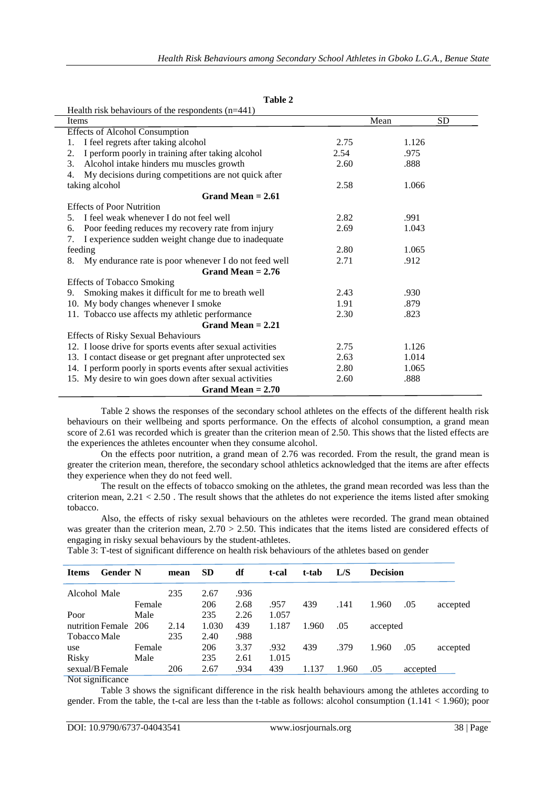| וחו<br>ı<br>. .<br>n<br>٠ |  |
|---------------------------|--|
|---------------------------|--|

| Health risk behaviours of the respondents $(n=441)$           |               |       |           |  |  |  |
|---------------------------------------------------------------|---------------|-------|-----------|--|--|--|
| Items                                                         |               | Mean  | <b>SD</b> |  |  |  |
| <b>Effects of Alcohol Consumption</b>                         |               |       |           |  |  |  |
| I feel regrets after taking alcohol<br>1.                     | 2.75<br>1.126 |       |           |  |  |  |
| I perform poorly in training after taking alcohol<br>2.       | 2.54          | .975  |           |  |  |  |
| Alcohol intake hinders mu muscles growth<br>3.                | 2.60          | .888  |           |  |  |  |
| My decisions during competitions are not quick after<br>4.    |               |       |           |  |  |  |
| taking alcohol                                                | 2.58          | 1.066 |           |  |  |  |
| Grand Mean $= 2.61$                                           |               |       |           |  |  |  |
| <b>Effects of Poor Nutrition</b>                              |               |       |           |  |  |  |
| I feel weak whenever I do not feel well<br>5.                 | 2.82          | .991  |           |  |  |  |
| Poor feeding reduces my recovery rate from injury<br>6.       | 2.69          | 1.043 |           |  |  |  |
| I experience sudden weight change due to inadequate<br>7.     |               |       |           |  |  |  |
| feeding                                                       | 2.80          | 1.065 |           |  |  |  |
| My endurance rate is poor whenever I do not feed well<br>8.   | 2.71          | .912  |           |  |  |  |
| Grand Mean $= 2.76$                                           |               |       |           |  |  |  |
| <b>Effects of Tobacco Smoking</b>                             |               |       |           |  |  |  |
| Smoking makes it difficult for me to breath well<br>9.        | 2.43          | .930  |           |  |  |  |
| 10. My body changes whenever I smoke                          | 1.91          | .879  |           |  |  |  |
| 11. Tobacco use affects my athletic performance               | 2.30          | .823  |           |  |  |  |
| Grand Mean $= 2.21$                                           |               |       |           |  |  |  |
| <b>Effects of Risky Sexual Behaviours</b>                     |               |       |           |  |  |  |
| 12. I loose drive for sports events after sexual activities   | 2.75          | 1.126 |           |  |  |  |
| 13. I contact disease or get pregnant after unprotected sex   | 2.63          | 1.014 |           |  |  |  |
| 14. I perform poorly in sports events after sexual activities | 2.80          | 1.065 |           |  |  |  |
| 15. My desire to win goes down after sexual activities        | 2.60          | .888  |           |  |  |  |
| Grand Mean $= 2.70$                                           |               |       |           |  |  |  |

Table 2 shows the responses of the secondary school athletes on the effects of the different health risk behaviours on their wellbeing and sports performance. On the effects of alcohol consumption, a grand mean score of 2.61 was recorded which is greater than the criterion mean of 2.50. This shows that the listed effects are the experiences the athletes encounter when they consume alcohol.

On the effects poor nutrition, a grand mean of 2.76 was recorded. From the result, the grand mean is greater the criterion mean, therefore, the secondary school athletics acknowledged that the items are after effects they experience when they do not feed well.

The result on the effects of tobacco smoking on the athletes, the grand mean recorded was less than the criterion mean,  $2.21 < 2.50$ . The result shows that the athletes do not experience the items listed after smoking tobacco.

Also, the effects of risky sexual behaviours on the athletes were recorded. The grand mean obtained was greater than the criterion mean,  $2.70 > 2.50$ . This indicates that the items listed are considered effects of engaging in risky sexual behaviours by the student-athletes.

|                  |        | mean                    | <b>SD</b> | df   | t-cal | t-tab | L/S   |       |     |                                         |
|------------------|--------|-------------------------|-----------|------|-------|-------|-------|-------|-----|-----------------------------------------|
| Alcohol Male     |        | 235                     | 2.67      | .936 |       |       |       |       |     |                                         |
|                  | Female |                         | 206       | 2.68 | .957  | 439   | .141  | 1.960 | .05 | accepted                                |
|                  | Male   |                         | 235       | 2.26 | 1.057 |       |       |       |     |                                         |
| nutrition Female |        | 2.14                    | 1.030     | 439  | 1.187 | 1.960 | .05   |       |     |                                         |
| Tobacco Male     |        | 235                     | 2.40      | .988 |       |       |       |       |     |                                         |
|                  | Female |                         | 206       | 3.37 | .932  | 439   | .379  | 1.960 | .05 | accepted                                |
|                  | Male   |                         | 235       | 2.61 | 1.015 |       |       |       |     |                                         |
| sexual/B Female  |        | 206                     | 2.67      | .934 | 439   | 1.137 | 1.960 | .05   |     |                                         |
|                  | ____   | <b>Gender N</b><br>-206 |           |      |       |       |       |       |     | <b>Decision</b><br>accepted<br>accepted |

Table 3: T-test of significant difference on health risk behaviours of the athletes based on gender

Not significance

Table 3 shows the significant difference in the risk health behaviours among the athletes according to gender. From the table, the t-cal are less than the t-table as follows: alcohol consumption  $(1.141 < 1.960)$ ; poor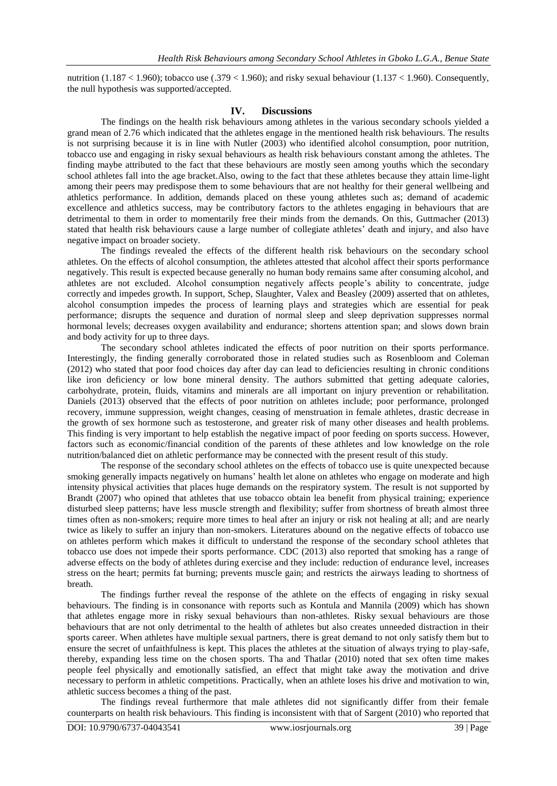nutrition (1.187 < 1.960); tobacco use (.379 < 1.960); and risky sexual behaviour (1.137 < 1.960). Consequently, the null hypothesis was supported/accepted.

#### **IV. Discussions**

The findings on the health risk behaviours among athletes in the various secondary schools yielded a grand mean of 2.76 which indicated that the athletes engage in the mentioned health risk behaviours. The results is not surprising because it is in line with Nutler (2003) who identified alcohol consumption, poor nutrition, tobacco use and engaging in risky sexual behaviours as health risk behaviours constant among the athletes. The finding maybe attributed to the fact that these behaviours are mostly seen among youths which the secondary school athletes fall into the age bracket.Also, owing to the fact that these athletes because they attain lime-light among their peers may predispose them to some behaviours that are not healthy for their general wellbeing and athletics performance. In addition, demands placed on these young athletes such as; demand of academic excellence and athletics success, may be contributory factors to the athletes engaging in behaviours that are detrimental to them in order to momentarily free their minds from the demands. On this, Guttmacher (2013) stated that health risk behaviours cause a large number of collegiate athletes' death and injury, and also have negative impact on broader society.

The findings revealed the effects of the different health risk behaviours on the secondary school athletes. On the effects of alcohol consumption, the athletes attested that alcohol affect their sports performance negatively. This result is expected because generally no human body remains same after consuming alcohol, and athletes are not excluded. Alcohol consumption negatively affects people's ability to concentrate, judge correctly and impedes growth. In support, Schep, Slaughter, Valex and Beasley (2009) asserted that on athletes, alcohol consumption impedes the process of learning plays and strategies which are essential for peak performance; disrupts the sequence and duration of normal sleep and sleep deprivation suppresses normal hormonal levels; decreases oxygen availability and endurance; shortens attention span; and slows down brain and body activity for up to three days.

The secondary school athletes indicated the effects of poor nutrition on their sports performance. Interestingly, the finding generally corroborated those in related studies such as Rosenbloom and Coleman (2012) who stated that poor food choices day after day can lead to deficiencies resulting in chronic conditions like iron deficiency or low bone mineral density. The authors submitted that getting adequate calories, carbohydrate, protein, fluids, vitamins and minerals are all important on injury prevention or rehabilitation. Daniels (2013) observed that the effects of poor nutrition on athletes include; poor performance, prolonged recovery, immune suppression, weight changes, ceasing of menstruation in female athletes, drastic decrease in the growth of sex hormone such as testosterone, and greater risk of many other diseases and health problems. This finding is very important to help establish the negative impact of poor feeding on sports success. However, factors such as economic/financial condition of the parents of these athletes and low knowledge on the role nutrition/balanced diet on athletic performance may be connected with the present result of this study.

The response of the secondary school athletes on the effects of tobacco use is quite unexpected because smoking generally impacts negatively on humans' health let alone on athletes who engage on moderate and high intensity physical activities that places huge demands on the respiratory system. The result is not supported by Brandt (2007) who opined that athletes that use tobacco obtain lea benefit from physical training; experience disturbed sleep patterns; have less muscle strength and flexibility; suffer from shortness of breath almost three times often as non-smokers; require more times to heal after an injury or risk not healing at all; and are nearly twice as likely to suffer an injury than non-smokers. Literatures abound on the negative effects of tobacco use on athletes perform which makes it difficult to understand the response of the secondary school athletes that tobacco use does not impede their sports performance. CDC (2013) also reported that smoking has a range of adverse effects on the body of athletes during exercise and they include: reduction of endurance level, increases stress on the heart; permits fat burning; prevents muscle gain; and restricts the airways leading to shortness of breath.

The findings further reveal the response of the athlete on the effects of engaging in risky sexual behaviours. The finding is in consonance with reports such as Kontula and Mannila (2009) which has shown that athletes engage more in risky sexual behaviours than non-athletes. Risky sexual behaviours are those behaviours that are not only detrimental to the health of athletes but also creates unneeded distraction in their sports career. When athletes have multiple sexual partners, there is great demand to not only satisfy them but to ensure the secret of unfaithfulness is kept. This places the athletes at the situation of always trying to play-safe, thereby, expanding less time on the chosen sports. Tha and Thatlar (2010) noted that sex often time makes people feel physically and emotionally satisfied, an effect that might take away the motivation and drive necessary to perform in athletic competitions. Practically, when an athlete loses his drive and motivation to win, athletic success becomes a thing of the past.

The findings reveal furthermore that male athletes did not significantly differ from their female counterparts on health risk behaviours. This finding is inconsistent with that of Sargent (2010) who reported that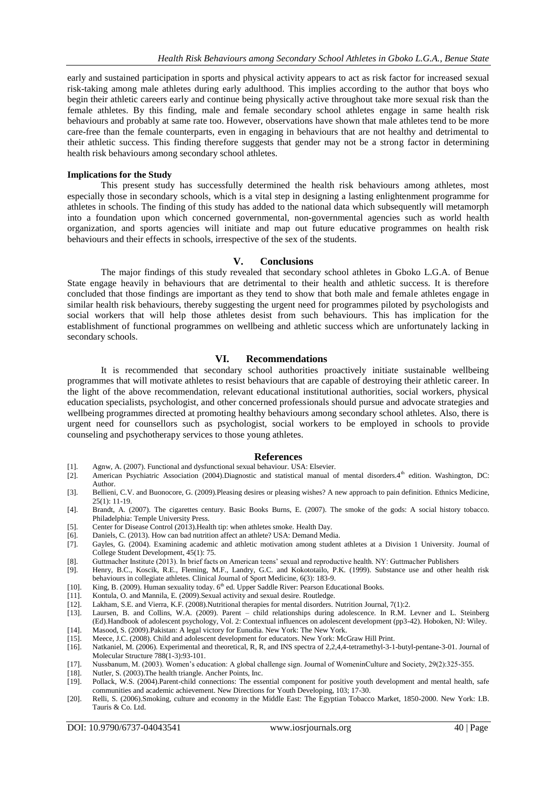early and sustained participation in sports and physical activity appears to act as risk factor for increased sexual risk-taking among male athletes during early adulthood. This implies according to the author that boys who begin their athletic careers early and continue being physically active throughout take more sexual risk than the female athletes. By this finding, male and female secondary school athletes engage in same health risk behaviours and probably at same rate too. However, observations have shown that male athletes tend to be more care-free than the female counterparts, even in engaging in behaviours that are not healthy and detrimental to their athletic success. This finding therefore suggests that gender may not be a strong factor in determining health risk behaviours among secondary school athletes.

#### **Implications for the Study**

This present study has successfully determined the health risk behaviours among athletes, most especially those in secondary schools, which is a vital step in designing a lasting enlightenment programme for athletes in schools. The finding of this study has added to the national data which subsequently will metamorph into a foundation upon which concerned governmental, non-governmental agencies such as world health organization, and sports agencies will initiate and map out future educative programmes on health risk behaviours and their effects in schools, irrespective of the sex of the students.

#### **V. Conclusions**

The major findings of this study revealed that secondary school athletes in Gboko L.G.A. of Benue State engage heavily in behaviours that are detrimental to their health and athletic success. It is therefore concluded that those findings are important as they tend to show that both male and female athletes engage in similar health risk behaviours, thereby suggesting the urgent need for programmes piloted by psychologists and social workers that will help those athletes desist from such behaviours. This has implication for the establishment of functional programmes on wellbeing and athletic success which are unfortunately lacking in secondary schools.

#### **VI. Recommendations**

It is recommended that secondary school authorities proactively initiate sustainable wellbeing programmes that will motivate athletes to resist behaviours that are capable of destroying their athletic career. In the light of the above recommendation, relevant educational institutional authorities, social workers, physical education specialists, psychologist, and other concerned professionals should pursue and advocate strategies and wellbeing programmes directed at promoting healthy behaviours among secondary school athletes. Also, there is urgent need for counsellors such as psychologist, social workers to be employed in schools to provide counseling and psychotherapy services to those young athletes.

#### **References**

- [1]. Agnw, A. (2007). Functional and dysfunctional sexual behaviour. USA: Elsevier.
- [2]. American Psychiatric Association (2004).Diagnostic and statistical manual of mental disorders.4th edition. Washington, DC: Author.
- [3]. Bellieni, C.V. and Buonocore, G. (2009).Pleasing desires or pleasing wishes? A new approach to pain definition. Ethnics Medicine, 25(1): 11-19.
- [4]. Brandt, A. (2007). The cigarettes century. Basic Books Burns, E. (2007). The smoke of the gods: A social history tobacco. Philadelphia: Temple University Press.
- [5]. Center for Disease Control (2013).Health tip: when athletes smoke. Health Day.
- [6]. Daniels, C. (2013). How can bad nutrition affect an athlete? USA: Demand Media.
- Gayles, G. (2004). Examining academic and athletic motivation among student athletes at a Division 1 University. Journal of College Student Development, 45(1): 75.
- [8]. Guttmacher Institute (2013). In brief facts on American teens' sexual and reproductive health. NY: Guttmacher Publishers
- [9]. Henry, B.C., Koscik, R.E., Fleming, M.F., Landry, G.C. and Kokototailo, P.K. (1999). Substance use and other health risk behaviours in collegiate athletes. Clinical Journal of Sport Medicine, 6(3): 183-9.
- [10]. King, B. (2009). Human sexuality today. 6<sup>th</sup> ed. Upper Saddle River: Pearson Educational Books.
- [11]. Kontula, O. and Mannila, E. (2009).Sexual activity and sexual desire. Routledge.
- [12]. Lakham, S.E. and Vierra, K.F. (2008).Nutritional therapies for mental disorders. Nutrition Journal, 7(1):2.
- [13]. Laursen, B. and Collins, W.A. (2009). Parent child relationships during adolescence. In R.M. Levner and L. Steinberg (Ed).Handbook of adolescent psychology, Vol. 2: Contextual influences on adolescent development (pp3-42). Hoboken, NJ: Wiley.
- [14]. Masood, S. (2009).Pakistan: A legal victory for Eunudia. New York: The New York.
- [15]. Meece, J.C. (2008). Child and adolescent development for educators. New York: McGraw Hill Print. [16]. Natkaniel, M. (2006). Experimental and theoretical, R, R, and INS spectra of 2,2,4,4-tetramethyl-3-1 Natkaniel, M. (2006). Experimental and theoretical, R, R, and INS spectra of 2,2,4,4-tetramethyl-3-1-butyl-pentane-3-01. Journal of Molecular Structure 788(1-3):93-101.
- [17]. Nussbanum, M. (2003). Women's education: A global challenge sign. Journal of WomeninCulture and Society, 29(2):325-355. [18]. Nutler, S. (2003). The health triangle. Ancher Points, Inc.
- 
- [18]. Nutler, S. (2003). The health triangle. Ancher Points, Inc. [19]. Pollack, W.S. (2004). Parent-child connections: The esse [19]. Pollack, W.S. (2004).Parent-child connections: The essential component for positive youth development and mental health, safe communities and academic achievement. New Directions for Youth Developing, 103; 17-30.
- [20]. Relli, S. (2006).Smoking, culture and economy in the Middle East: The Egyptian Tobacco Market, 1850-2000. New York: I.B. Tauris & Co. Ltd.